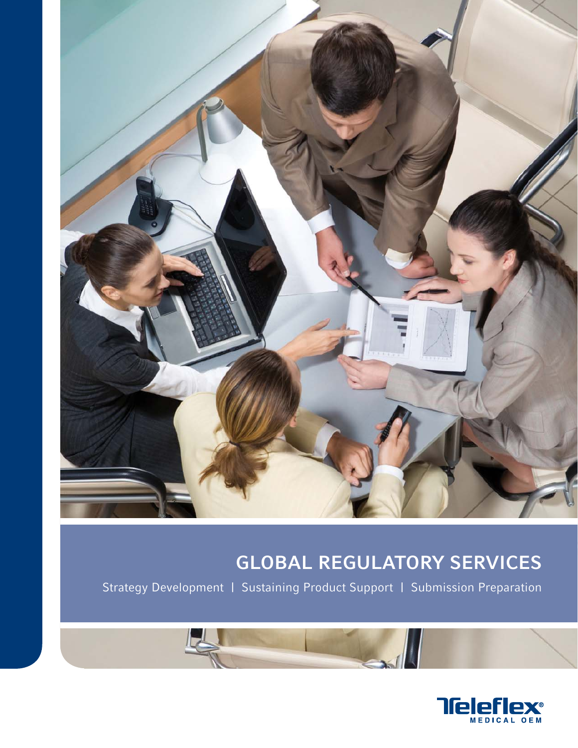

# GLOBAL REGULATORY SERVICES

Strategy Development | Sustaining Product Support | Submission Preparation

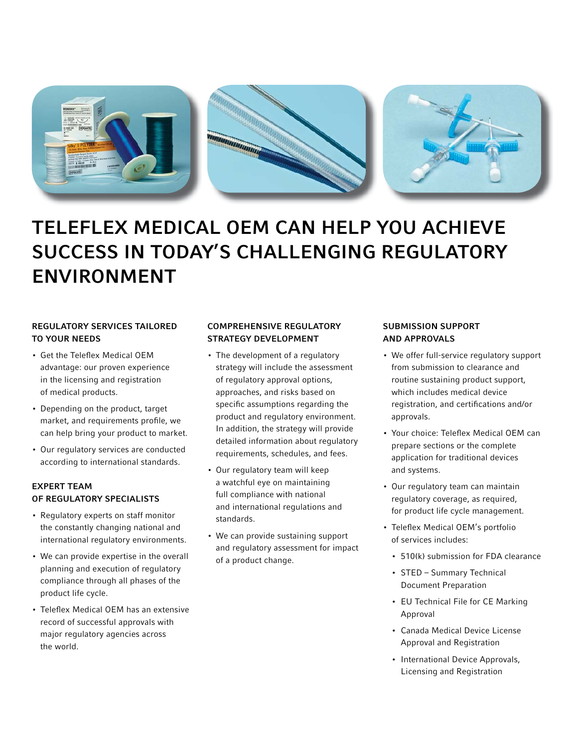

# TELEFLEX MEDICAL OEM CAN HELP YOU ACHIEVE SUCCESS IN TODAY'S CHALLENGING REGULATORY ENVIRONMENT

# REGULATORY SERVICES TAILORED TO YOUR NEEDS

- Get the Teleflex Medical OEM advantage: our proven experience in the licensing and registration of medical products.
- Depending on the product, target market, and requirements profile, we can help bring your product to market.
- Our regulatory services are conducted according to international standards.

# EXPERT TEAM OF REGULATORY SPECIALISTS

- Regulatory experts on staff monitor the constantly changing national and international regulatory environments.
- We can provide expertise in the overall planning and execution of regulatory compliance through all phases of the product life cycle.
- Teleflex Medical OEM has an extensive record of successful approvals with major regulatory agencies across the world.

# COMPREHENSIVE REGULATORY STRATEGY DEVELOPMENT

- The development of a regulatory strategy will include the assessment of regulatory approval options, approaches, and risks based on specific assumptions regarding the product and regulatory environment. In addition, the strategy will provide detailed information about regulatory requirements, schedules, and fees.
- Our regulatory team will keep a watchful eye on maintaining full compliance with national and international regulations and standards.
- We can provide sustaining support and regulatory assessment for impact of a product change.

# SUBMISSION SUPPORT AND APPROVALS

- We offer full-service regulatory support from submission to clearance and routine sustaining product support, which includes medical device registration, and certifications and/or approvals.
- Your choice: Teleflex Medical OEM can prepare sections or the complete application for traditional devices and systems.
- Our regulatory team can maintain regulatory coverage, as required, for product life cycle management.
- Teleflex Medical OEM's portfolio of services includes:
	- 510(k) submission for FDA clearance
	- STED Summary Technical Document Preparation
	- EU Technical File for CE Marking Approval
	- Canada Medical Device License Approval and Registration
	- International Device Approvals, Licensing and Registration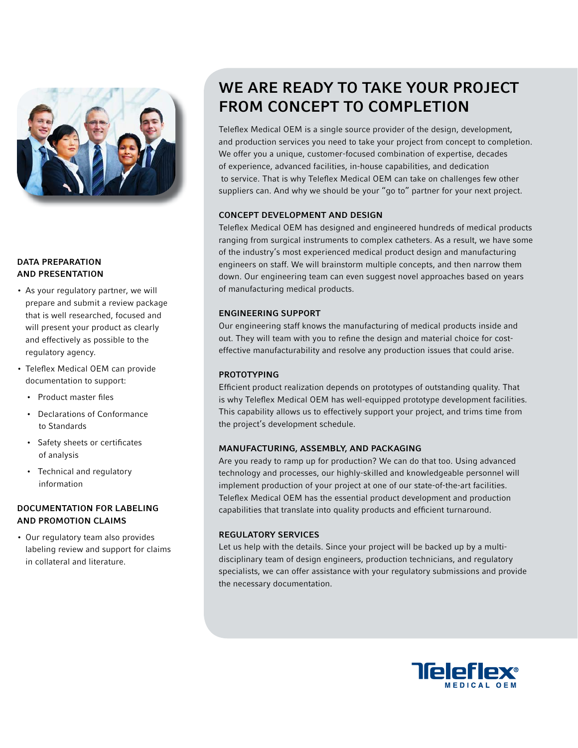

## DATA PREPARATION AND PRESENTATION

- As your regulatory partner, we will prepare and submit a review package that is well researched, focused and will present your product as clearly and effectively as possible to the regulatory agency.
- Teleflex Medical OEM can provide documentation to support:
	- Product master files
	- Declarations of Conformance to Standards
	- Safety sheets or certificates of analysis
	- Technical and regulatory information

# DOCUMENTATION FOR LABELING AND PROMOTION CLAIMS

• Our regulatory team also provides labeling review and support for claims in collateral and literature.

# WE ARE READY TO TAKE YOUR PROJECT FROM CONCEPT TO COMPLETION

Teleflex Medical OEM is a single source provider of the design, development, and production services you need to take your project from concept to completion. We offer you a unique, customer-focused combination of expertise, decades of experience, advanced facilities, in-house capabilities, and dedication to service. That is why Teleflex Medical OEM can take on challenges few other suppliers can. And why we should be your "go to" partner for your next project.

## CONCEPT DEVELOPMENT AND DESIGN

Teleflex Medical OEM has designed and engineered hundreds of medical products ranging from surgical instruments to complex catheters. As a result, we have some of the industry's most experienced medical product design and manufacturing engineers on staff. We will brainstorm multiple concepts, and then narrow them down. Our engineering team can even suggest novel approaches based on years of manufacturing medical products.

### ENGINEERING SUPPORT

Our engineering staff knows the manufacturing of medical products inside and out. They will team with you to refine the design and material choice for costeffective manufacturability and resolve any production issues that could arise.

# PROTOTYPING

Efficient product realization depends on prototypes of outstanding quality. That is why Teleflex Medical OEM has well-equipped prototype development facilities. This capability allows us to effectively support your project, and trims time from the project's development schedule.

### MANUFACTURING, ASSEMBLY, AND PACKAGING

Are you ready to ramp up for production? We can do that too. Using advanced technology and processes, our highly-skilled and knowledgeable personnel will implement production of your project at one of our state-of-the-art facilities. Teleflex Medical OEM has the essential product development and production capabilities that translate into quality products and efficient turnaround.

### REGULATORY SERVICES

Let us help with the details. Since your project will be backed up by a multidisciplinary team of design engineers, production technicians, and regulatory specialists, we can offer assistance with your regulatory submissions and provide the necessary documentation.